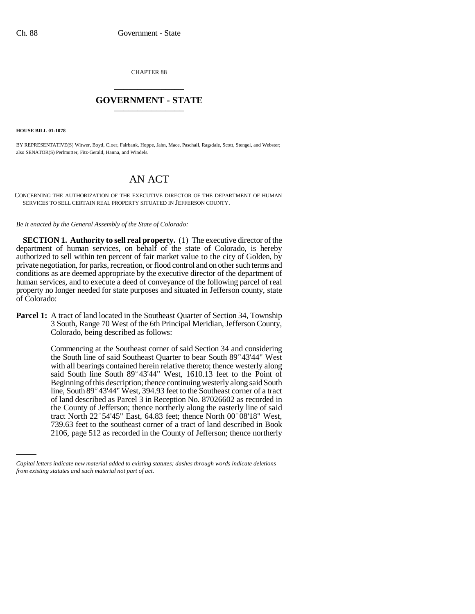CHAPTER 88 \_\_\_\_\_\_\_\_\_\_\_\_\_\_\_

## **GOVERNMENT - STATE** \_\_\_\_\_\_\_\_\_\_\_\_\_\_\_

**HOUSE BILL 01-1078**

BY REPRESENTATIVE(S) Witwer, Boyd, Cloer, Fairbank, Hoppe, Jahn, Mace, Paschall, Ragsdale, Scott, Stengel, and Webster; also SENATOR(S) Perlmutter, Fitz-Gerald, Hanna, and Windels.

## AN ACT

CONCERNING THE AUTHORIZATION OF THE EXECUTIVE DIRECTOR OF THE DEPARTMENT OF HUMAN SERVICES TO SELL CERTAIN REAL PROPERTY SITUATED IN JEFFERSON COUNTY.

## *Be it enacted by the General Assembly of the State of Colorado:*

**SECTION 1. Authority to sell real property.** (1) The executive director of the department of human services, on behalf of the state of Colorado, is hereby authorized to sell within ten percent of fair market value to the city of Golden, by private negotiation, for parks, recreation, or flood control and on other such terms and conditions as are deemed appropriate by the executive director of the department of human services, and to execute a deed of conveyance of the following parcel of real property no longer needed for state purposes and situated in Jefferson county, state of Colorado:

**Parcel 1:** A tract of land located in the Southeast Quarter of Section 34, Township 3 South, Range 70 West of the 6th Principal Meridian, Jefferson County, Colorado, being described as follows:

> Commencing at the Southeast corner of said Section 34 and considering Commencing at the Southeast corner of said Section 34 and considering<br>the South line of said Southeast Quarter to bear South 89°43'44" West with all bearings contained herein relative thereto; thence westerly along the South line of said Southeast Quarter to bear South 89°43'44" West<br>with all bearings contained herein relative thereto; thence westerly along<br>said South line South 89°43'44" West, 1610.13 feet to the Point of Beginning of this description; thence continuing westerly along said South said South line South 89°43'44" West, 1610.13 feet to the Point of<br>Beginning of this description; thence continuing westerly along said South<br>line, South 89°43'44" West, 394.93 feet to the Southeast corner of a tract of land described as Parcel 3 in Reception No. 87026602 as recorded in the County of Jefferson; thence northerly along the easterly line of said of land described as Parcel 3 in Reception No. 87026602 as recorded in<br>the County of Jefferson; thence northerly along the easterly line of said<br>tract North 22°54'45" East, 64.83 feet; thence North 00°08'18" West, 739.63 feet to the southeast corner of a tract of land described in Book 2106, page 512 as recorded in the County of Jefferson; thence northerly

*Capital letters indicate new material added to existing statutes; dashes through words indicate deletions from existing statutes and such material not part of act.*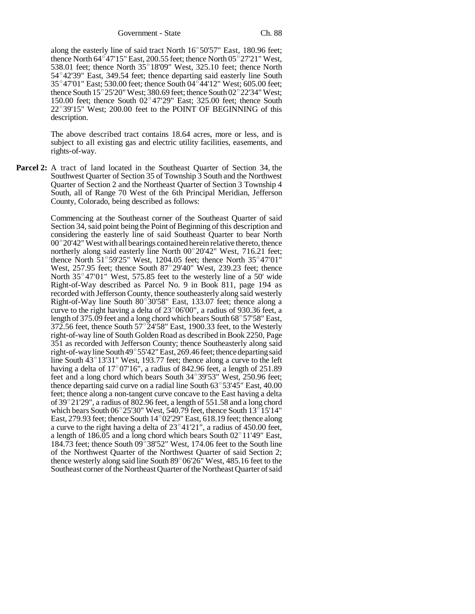Government - State Ch. 88

Government - State Ch. 88<br>along the easterly line of said tract North 16°50'57" East, 180.96 feet; along the easterly line of said tract North  $16^{\circ}50'57"$  East, 180.96 feet;<br>thence North 64°47'15" East, 200.55 feet; thence North 05°27'21" West, thence North  $64^{\circ}47'15''$  East, 200.55 feet; thence North  $05^{\circ}27'21''$  West, 538.01 feet; thence North  $35^{\circ}18'09''$  West, 325.10 feet; thence North thence North 64°47'15" East, 200.55 feet; thence North 05°27'21" West, 538.01 feet; thence North 35°18'09" West, 325.10 feet; thence North 54°42'39" East, 349.54 feet; thence departing said easterly line South 538.01 feet; thence North 35°18'09" West, 325.10 feet; thence North 54°42'39" East, 349.54 feet; thence departing said easterly line South 35°47'01" East; 530.00 feet; thence South 04°44'12" West; 605.00 feet;  $35^{\circ}47'01''$  East; 530.00 feet; thence South 04 $^{\circ}44'12''$  West; 605.00 feet; thence South 15 $^{\circ}25'20''$  West; 380.69 feet; thence South 02 $^{\circ}22'34''$  West;  $35^{\circ}47'01''$  East; 530.00 feet; thence South 04 $^{\circ}44'12''$  West; 605.00 feet; thence South 15 $^{\circ}25'20''$  West; 380.69 feet; thence South 02 $^{\circ}22'34''$  West; 150.00 feet; thence South 02 $^{\circ}47'29''$  East; 325.00 feet; thence South  $15^{\circ}25'20''$  West; 380.69 feet; thence South 02 $^{\circ}22'34''$  West; 150.00 feet; thence South 02 $^{\circ}47'29''$  East; 325.00 feet; thence South 22 $^{\circ}39'15''$  West; 200.00 feet to the POINT OF BEGINNING of this description.

The above described tract contains 18.64 acres, more or less, and is subject to all existing gas and electric utility facilities, easements, and rights-of-way.

**Parcel 2:** A tract of land located in the Southeast Quarter of Section 34, the Southwest Quarter of Section 35 of Township 3 South and the Northwest Quarter of Section 2 and the Northeast Quarter of Section 3 Township 4 South, all of Range 70 West of the 6th Principal Meridian, Jefferson County, Colorado, being described as follows:

> Commencing at the Southeast corner of the Southeast Quarter of said Section 34, said point being the Point of Beginning of this description and considering the easterly line of said Southeast Quarter to bear North Section 34, said point being the Point of Beginning of this description and<br>considering the easterly line of said Southeast Quarter to bear North<br>00°20'42" West with all bearings contained herein relative thereto, thence  $00^{\circ}20'42''$  West with all bearings contained herein relative thereto, thence northerly along said easterly line North  $00^{\circ}20'42''$  West, 716.21 feet; 00°20'42" West with all bearings contained herein relative thereto, thence northerly along said easterly line North  $00^{\circ}20'42''$  West, 716.21 feet; thence North  $51^{\circ}59'25''$  West, 1204.05 feet; thence North  $35^{\circ}47'$ northerly along said easterly line North 00°20'42" West, 716.21 feet;<br>thence North 51°59'25" West, 1204.05 feet; thence North 35°47'01"<br>West, 257.95 feet; thence South 87°29'40" West, 239.23 feet; thence West, 257.95 feet; thence South  $87^{\circ}29'40''$  West, 239.23 feet; thence North  $35^{\circ}47'01''$  West, 575.85 feet to the westerly line of a 50' wide Right-of-Way described as Parcel No. 9 in Book 811, page 194 as recorded with Jefferson County, thence southeasterly along said westerly Right-of-Way described as Parcel No. 9 in Book 811, page 194 as<br>recorded with Jefferson County, thence southeasterly along said westerly<br>Right-of-Way line South 80°30'58" East, 133.07 feet; thence along a Right-of-Way line South  $80^{\circ}30'58''$  East, 133.07 feet; thence along a curve to the right having a delta of  $23^{\circ}06'00''$ , a radius of 930.36 feet, a length of 375.09 feet and a long chord which bears South  $68^{\circ}57'58"$  East, 372.56 feet, thence South  $57^{\circ}24'58"$  East, 1900.33 feet, to the Westerly right-of-way line of South Golden Road as described in Book 2250, Page 351 as recorded with Jefferson County; thence Southeasterly along said right-of-way line of South Golden Road as described in Book 2250, Page<br>351 as recorded with Jefferson County; thence Southeasterly along said<br>right-of-way line South 49° 55'42" East, 269.46 feet; thence departing said 351 as recorded with Jefferson County; thence Southeasterly along said<br>right-of-way line South 49° 55'42" East, 269.46 feet; thence departing said<br>line South 43° 13'31" West, 193.77 feet; thence along a curve to the left line South 43°13'31" West, 193.77 feet; thence along a curve to the left having a delta of  $17^{\circ}07'16"$ , a radius of 842.96 feet, a length of 251.89 line South 43°13'31" West, 193.77 feet; thence along a curve to the left having a delta of 17°07'16", a radius of 842.96 feet, a length of 251.89 feet and a long chord which bears South 34°39'53" West, 250.96 feet; having a delta of 17°07'16", a radius of 842.96 feet, a length of 251.89<br>feet and a long chord which bears South 34°39'53" West, 250.96 feet;<br>thence departing said curve on a radial line South 63°53'45" East, 40.00 feet; thence along a non-tangent curve concave to the East having a delta thence departing said curve on a radial line South 63°53'45" East, 40.00<br>feet; thence along a non-tangent curve concave to the East having a delta<br>of 39°21'29", a radius of 802.96 feet, a length of 551.58 and a long chord feet; thence along a non-tangent curve concave to the East having a delta<br>of 39°21'29", a radius of 802.96 feet, a length of 551.58 and a long chord<br>which bears South 06°25'30" West, 540.79 feet, thence South 13°15'14" which bears South  $06^{\circ}25'30''$  West, 540.79 feet, thence South  $13^{\circ}15'14''$ East, 279.93 feet; thence South  $14^{\circ}02'29''$  East, 618.19 feet; thence along a curve to the right having a delta of  $23^{\circ}41'21''$ , a radius of 450.00 feet, a length of 186.05 and a long chord which bears South 02 $^{\circ}$  11'49" East, 184.73 feet; thence South  $09^{\circ}38'52''$  West, 174.06 feet to the South line of the Northwest Quarter of the Northwest Quarter of said Section 2; 184.73 feet; thence South 09°38'52" West, 174.06 feet to the South line of the Northwest Quarter of the Northwest Quarter of said Section 2; thence westerly along said line South 89°06'26" West, 485.16 feet to the Southeast corner of the Northeast Quarter of the Northeast Quarter of said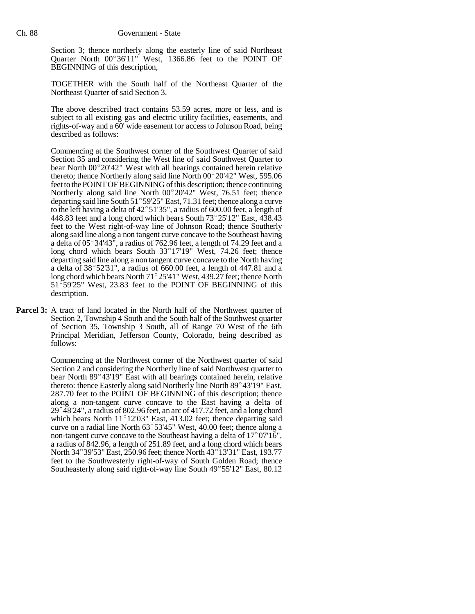Section 3; thence northerly along the easterly line of said Northeast Section 3; thence northerly along the easterly line of said Northeast<br>Quarter North 00°36'11" West, 1366.86 feet to the POINT OF BEGINNING of this description,

TOGETHER with the South half of the Northeast Quarter of the Northeast Quarter of said Section 3.

The above described tract contains 53.59 acres, more or less, and is subject to all existing gas and electric utility facilities, easements, and rights-of-way and a 60' wide easement for access to Johnson Road, being described as follows:

Commencing at the Southwest corner of the Southwest Quarter of said Section 35 and considering the West line of said Southwest Quarter to bear North  $00^{\circ}20'42''$  West with all bearings contained herein relative thereto; thence Northerly along said line North  $00^{\circ}20'42''$  West, 595.06 feet to the POINT OF BEGINNING of this description; thence continuing thereto; thence Northerly along said line North 00°20'42" West, 595.06<br>feet to the POINT OF BEGINNING of this description; thence continuing<br>Northerly along said line North 00°20'42" West, 76.51 feet; thence Northerly along said line North  $00^{\circ}20'42''$  West, 76.51 feet; thence departing said line South 51°59'25" East, 71.31 feet; thence along a curve to the left having a delta of  $42^{\circ}51'35''$ , a radius of 600.00 feet, a length of 448.83 feet and a long chord which bears South 73°25'12" East, to the left having a delta of  $42^{\circ}51'35''$ , a radius of 600.00 feet, a length of feet to the West right-of-way line of Johnson Road; thence Southerly along said line along a non tangent curve concave to the Southeast having feet to the West right-of-way line of Johnson Road; thence Southerly<br>along said line along a non tangent curve concave to the Southeast having<br>a delta of 05°34'43", a radius of 762.96 feet, a length of 74.29 feet and a along said line along a non tangent curve concave to the Southeast having<br>a delta of 05°34'43", a radius of 762.96 feet, a length of 74.29 feet and a<br>long chord which bears South 33°17'19" West, 74.26 feet; thence departing said line along a non tangent curve concave to the North having long chord which bears South  $33^{\circ}17'19''$  West, 74.26 feet; thence departing said line along a non tangent curve concave to the North having a delta of  $38^{\circ}52'31''$ , a radius of 660.00 feet, a length of 447.81 and a a delta of  $38^{\circ}52'31''$ , a radius of  $660.00$  feet, a length of  $447.81$  and a long chord which bears North  $71^{\circ}25'41''$  West,  $439.27$  feet; thence North  $51^{\circ}59'25''$  West, 23.83 feet to the POINT OF BEGINNING of t long chord which bears North  $71^{\circ}25'41''$  West, 439.27 feet; thence North description.

**Parcel 3:** A tract of land located in the North half of the Northwest quarter of Section 2, Township 4 South and the South half of the Southwest quarter of Section 35, Township 3 South, all of Range 70 West of the 6th Principal Meridian, Jefferson County, Colorado, being described as follows:

> Commencing at the Northwest corner of the Northwest quarter of said Section 2 and considering the Northerly line of said Northwest quarter to Commencing at the Northwest corner of the Northwest quarter of said<br>Section 2 and considering the Northerly line of said Northwest quarter to<br>bear North 89°43'19" East with all bearings contained herein, relative Section 2 and considering the Northerly line of said Northwest quarter to<br>bear North 89°43'19" East with all bearings contained herein, relative<br>thereto: thence Easterly along said Northerly line North 89°43'19" East, 287.70 feet to the POINT OF BEGINNING of this description; thence along a non-tangent curve concave to the East having a delta of 287.70 feet to the POINT OF BEGINNING of this description; thence<br>along a non-tangent curve concave to the East having a delta of<br>29°48'24", a radius of 802.96 feet, an arc of 417.72 feet, and a long chord  $29^{\circ}$  48'24", a radius of 802.96 feet, an arc of 417.72 feet, and a long chord which bears North  $11^{\circ}12'03''$  East, 413.02 feet; thence departing said curve on a radial line North  $63^{\circ}53'45''$  West, 40.00 feet; thence along a non-tangent curve concave to the Southeast having a delta of  $17^{\circ}07'16''$ , a radius of 842.96, a length of 251.89 feet, and a long chord which bears non-tangent curve concave to the Southeast having a delta of 17°07'16",<br>a radius of 842.96, a length of 251.89 feet, and a long chord which bears<br>North 34°39'53" East, 250.96 feet; thence North 43°13'31" East, 193.77 feet to the Southwesterly right-of-way of South Golden Road; thence North 34°39'53" East, 250.96 feet; thence North 43°13'31" East, 193.77<br>feet to the Southwesterly right-of-way of South Golden Road; thence<br>Southeasterly along said right-of-way line South 49°55'12" East, 80.12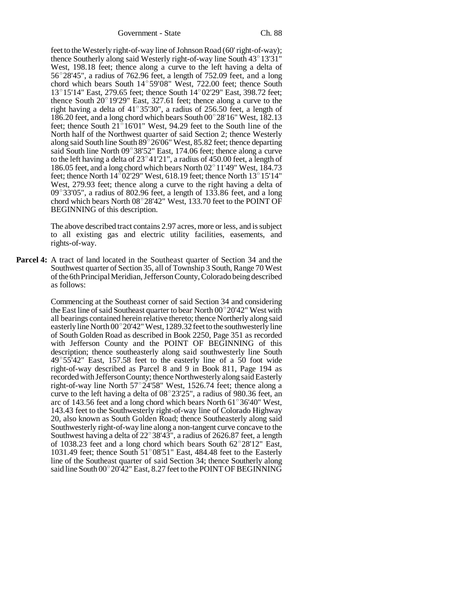Government - State Ch. 88

feet to the Westerly right-of-way line of Johnson Road (60' right-of-way); feet to the Westerly right-of-way line of Johnson Road (60' right-of-way);<br>thence Southerly along said Westerly right-of-way line South 43°13'31" West, 198.18 feet; thence along a curve to the left having a delta of thence Southerly along said Westerly right-of-way line South 43°13'31"<br>West, 198.18 feet; thence along a curve to the left having a delta of<br>56°28'45", a radius of 762.96 feet, a length of 752.09 feet, and a long West, 198.18 feet; thence along a curve to the left having a delta of  $56^{\circ}28'45''$ , a radius of  $762.96$  feet, a length of  $752.09$  feet, and a long chord which bears South  $14^{\circ}59'08''$  West, 722.00 feet; thence South 56°28'45", a radius of 762.96 feet, a length of 752.09 feet, and a long chord which bears South 14°59'08" West, 722.00 feet; thence South 13°15'14" East, 279.65 feet; thence South 14°02'29" East, 398.72 feet; chord which bears South  $14^{\circ}59'08''$  West, 722.00 feet; thence South  $13^{\circ}15'14''$  East, 279.65 feet; thence South  $14^{\circ}02'29''$  East, 398.72 feet; thence South  $20^{\circ}19'29''$  East, 327.61 feet; thence along a curve t 13°15'14" East, 279.65 feet; thence South 14°02'29" East, 398.72 feet; thence South 20°19'29" East, 327.61 feet; thence along a curve to the right having a delta of 41°35'30", a radius of 256.50 feet, a length of thence South 20° 19'29" East, 327.61 feet; thence along a curve to the right having a delta of  $41^{\circ}35'30''$ , a radius of 256.50 feet, a length of 186.20 feet, and a long chord which bears South 00° 28'16" West, 182.13 186.20 feet, and a long chord which bears South  $00^{\circ}$  28'16" West, 182.13 feet; thence South  $21^{\circ}$  16'01" West, 94.29 feet to the South line of the North half of the Northwest quarter of said Section 2; thence Westerly feet; thence South 21°16'01" West, 94.29 feet to the South line of the<br>North half of the Northwest quarter of said Section 2; thence Westerly<br>along said South line South 89°26'06" West, 85.82 feet; thence departing North half of the Northwest quarter of said Section 2; thence Westerly<br>along said South line South 89°26'06" West, 85.82 feet; thence departing<br>said South line North 09°38'52" East, 174.06 feet; thence along a curve along said South line South 89°26'06" West, 85.82 feet; thence departing<br>said South line North 09°38'52" East, 174.06 feet; thence along a curve<br>to the left having a delta of 23°41'21", a radius of 450.00 feet, a length of to the left having a delta of  $23^{\circ}41'21''$ , a radius of 450.00 feet, a length of 186.05 feet, and a long chord which bears North 02 $^{\circ}11'49''$  West, 184.73 feet; thence North  $14^{\circ}02'29''$  West, 618.19 feet; thence North  $13^{\circ}15'14''$ West, 279.93 feet; thence along a curve to the right having a delta of feet; thence North 14°02'29" West, 618.19 feet; thence North 13°15'14"<br>West, 279.93 feet; thence along a curve to the right having a delta of<br>09°33'05", a radius of 802.96 feet, a length of 133.86 feet, and a long 09°33'05", a radius of 802.96 feet, a length of 133.86 feet, and a long chord which bears North 08°28'42" West, 133.70 feet to the POINT OF BEGINNING of this description.

The above described tract contains 2.97 acres, more or less, and is subject to all existing gas and electric utility facilities, easements, and rights-of-way.

**Parcel 4:** A tract of land located in the Southeast quarter of Section 34 and the Southwest quarter of Section 35, all of Township 3 South, Range 70 West of the 6th Principal Meridian, Jefferson County, Colorado being described as follows:

> Commencing at the Southeast corner of said Section 34 and considering the East line of said Southeast quarter to bear North  $00^{\circ}20'42''$  West with all bearings contained herein relative thereto; thence Northerly along said the East line of said Southeast quarter to bear North 00°20'42" West with<br>all bearings contained herein relative thereto; thence Northerly along said<br>easterly line North 00°20'42" West, 1289.32 feet to the southwesterly li of South Golden Road as described in Book 2250, Page 351 as recorded with Jefferson County and the POINT OF BEGINNING of this description; thence southeasterly along said southwesterly line South with Jefferson County and the POINT OF BEGINNING of this description; thence southeasterly along said southwesterly line South 49°55'42" East, 157.58 feet to the easterly line of a 50 foot wide right-of-way described as Parcel 8 and 9 in Book 811, Page 194 as recorded with Jefferson County; thence Northwesterly along said Easterly right-of-way described as Parcel 8 and 9 in Book 811, Page 194 as<br>recorded with Jefferson County; thence Northwesterly along said Easterly<br>right-of-way line North 57°24'58" West, 1526.74 feet; thence along a recorded with Jefferson County; thence Northwesterly along said Easterly<br>right-of-way line North 57°24'58" West, 1526.74 feet; thence along a<br>curve to the left having a delta of 08°23'25", a radius of 980.36 feet, an curve to the left having a delta of  $08^{\circ}23'25''$ , a radius of 980.36 feet, an arc of 143.56 feet and a long chord which bears North 61°36'40" West, 143.43 feet to the Southwesterly right-of-way line of Colorado Highway 20, also known as South Golden Road; thence Southeasterly along said Southwesterly right-of-way line along a non-tangent curve concave to the Southwest having a delta of  $22^{\circ}38'43''$ , a radius of 2626.87 feet, a length Southwesterly right-of-way line along a non-tangent curve concave to the<br>Southwest having a delta of 22°38'43", a radius of 2626.87 feet, a length<br>of 1038.23 feet and a long chord which bears South 62°28'12" East, Southwest having a delta of 22°38'43", a radius of 2626.87 feet, a length<br>of 1038.23 feet and a long chord which bears South 62°28'12" East,<br>1031.49 feet; thence South 51°08'51" East, 484.48 feet to the Easterly line of the Southeast quarter of said Section 34; thence Southerly along 1031.49 feet; thence South 51°08'51" East, 484.48 feet to the Easterly<br>line of the Southeast quarter of said Section 34; thence Southerly along<br>said line South 00°20'42" East, 8.27 feet to the POINT OF BEGINNING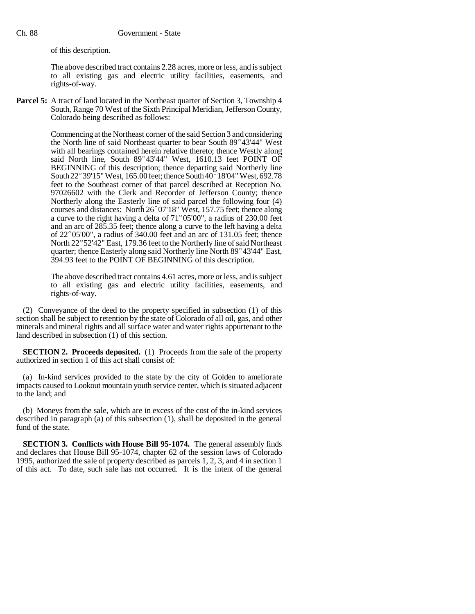of this description.

The above described tract contains 2.28 acres, more or less, and is subject to all existing gas and electric utility facilities, easements, and rights-of-way.

**Parcel 5:** A tract of land located in the Northeast quarter of Section 3, Township 4 South, Range 70 West of the Sixth Principal Meridian, Jefferson County, Colorado being described as follows:

> Commencing at the Northeast corner of the said Section 3 and considering Commencing at the Northeast corner of the said Section 3 and considering<br>the North line of said Northeast quarter to bear South 89°43'44" West with all bearings contained herein relative thereto; thence Westly along the North line of said Northeast quarter to bear South 89°43'44" West with all bearings contained herein relative thereto; thence Westly along said North line, South 89°43'44" West, 1610.13 feet POINT OF BEGINNING of this description; thence departing said Northerly line South  $22^{\circ}39'15''$  West, 165.00 feet; thence South  $40^{\circ}18'04''$  West, 692.78 feet to the Southeast corner of that parcel described at Reception No. 97026602 with the Clerk and Recorder of Jefferson County; thence Northerly along the Easterly line of said parcel the following four (4) 97026602 with the Clerk and Recorder of Jefferson County; thence<br>Northerly along the Easterly line of said parcel the following four (4)<br>courses and distances: North  $26^{\circ}07'18''$  West, 157.75 feet; thence along Northerly along the Easterly line of said parcel the following four (4) courses and distances: North  $26^{\circ}07'18''$  West, 157.75 feet; thence along a curve to the right having a delta of 71 $^{\circ}05'00''$ , a radius of 230.00 and an arc of 285.35 feet; thence along a curve to the left having a delta a curve to the right having a delta of  $71^{\circ}05'00''$ , a radius of 230.00 feet and an arc of 285.35 feet; thence along a curve to the left having a delta of  $22^{\circ}05'00''$ , a radius of 340.00 feet and an arc of 131.05 fee of  $22^{\circ}05'00''$ , a radius of 340.00 feet and an arc of 131.05 feet; thence North  $22^{\circ}52'42''$  East, 179.36 feet to the Northerly line of said Northeast quarter; thence Easterly along said Northerly line North  $89^{\circ}4$ North 22° 52'42" East, 179.36 feet to the Northerly line of said Northeast 394.93 feet to the POINT OF BEGINNING of this description.

> The above described tract contains 4.61 acres, more or less, and is subject to all existing gas and electric utility facilities, easements, and rights-of-way.

(2) Conveyance of the deed to the property specified in subsection (1) of this section shall be subject to retention by the state of Colorado of all oil, gas, and other minerals and mineral rights and all surface water and water rights appurtenant to the land described in subsection (1) of this section.

**SECTION 2. Proceeds deposited.** (1) Proceeds from the sale of the property authorized in section 1 of this act shall consist of:

(a) In-kind services provided to the state by the city of Golden to ameliorate impacts caused to Lookout mountain youth service center, which is situated adjacent to the land; and

(b) Moneys from the sale, which are in excess of the cost of the in-kind services described in paragraph (a) of this subsection (1), shall be deposited in the general fund of the state.

**SECTION 3. Conflicts with House Bill 95-1074.** The general assembly finds and declares that House Bill 95-1074, chapter 62 of the session laws of Colorado 1995, authorized the sale of property described as parcels 1, 2, 3, and 4 in section 1 of this act. To date, such sale has not occurred. It is the intent of the general